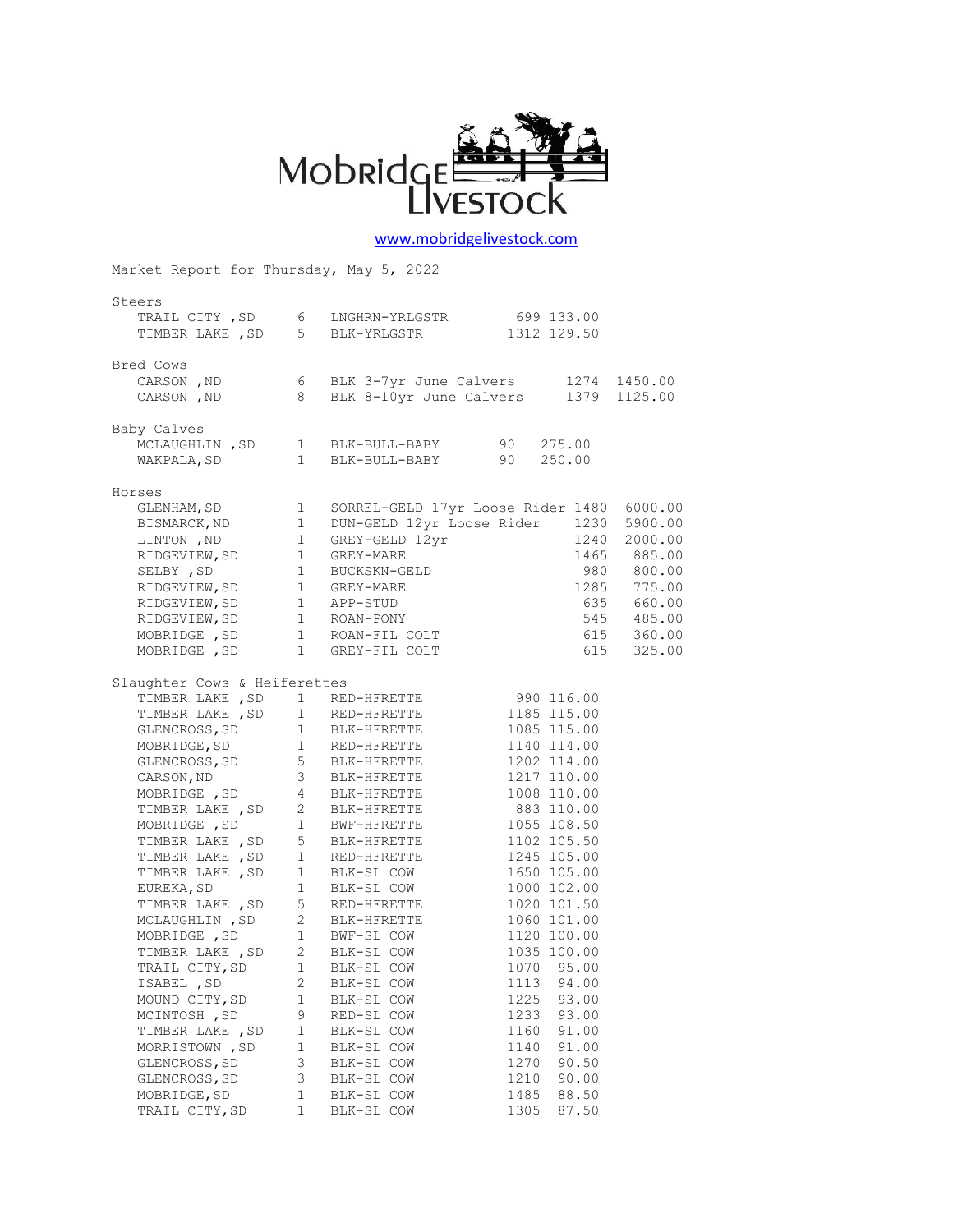

## [www.mobridgelivestock.com](http://www.mobridgelivestock.com/)

Market Report for Thursday, May 5, 2022

| Steers                       |              |                                                                                                                                                                                                                                              |      |                          |  |
|------------------------------|--------------|----------------------------------------------------------------------------------------------------------------------------------------------------------------------------------------------------------------------------------------------|------|--------------------------|--|
|                              |              | TRAIL CITY, SD 6 LNGHRN-YRLGSTR 699 133.00                                                                                                                                                                                                   |      |                          |  |
|                              |              | TIMBER LAKE , SD 5 BLK-YRLGSTR 1312 129.50                                                                                                                                                                                                   |      |                          |  |
|                              |              |                                                                                                                                                                                                                                              |      |                          |  |
| Bred Cows                    |              |                                                                                                                                                                                                                                              |      |                          |  |
|                              |              | carson, ND 6 BLK 3-7yr June Calvers 1274 1450.00<br>CARSON, ND 8 BLK 8-10yr June Calvers 1379 1125.00                                                                                                                                        |      |                          |  |
|                              |              |                                                                                                                                                                                                                                              |      |                          |  |
|                              |              |                                                                                                                                                                                                                                              |      |                          |  |
| Baby Calves                  |              |                                                                                                                                                                                                                                              |      |                          |  |
|                              |              |                                                                                                                                                                                                                                              |      |                          |  |
|                              |              | MCLAUGHLIN, SD 1 BLK-BULL-BABY 90 275.00<br>WAKPALA, SD 1 BLK-BULL-BABY 90 250.00                                                                                                                                                            |      |                          |  |
|                              |              |                                                                                                                                                                                                                                              |      |                          |  |
| Horses                       |              | rses<br>GLENHAM, SD 1 SORREL-GELD 17yr Loose Rider 1480 6000.00<br>BISMARCK,ND 1 DUN-GELD 12yr Loose Rider 1230 5900.00<br>LINTON ,ND 1 GREY-GELD 12yr 1240 2000.00<br>RIDGEVIEW, SD 1 GREY-MARE 1465 885.00<br>SELBY ,SD 1 BUCKSKN-GELD     |      |                          |  |
|                              |              |                                                                                                                                                                                                                                              |      |                          |  |
|                              |              |                                                                                                                                                                                                                                              |      |                          |  |
|                              |              |                                                                                                                                                                                                                                              |      |                          |  |
|                              |              |                                                                                                                                                                                                                                              |      |                          |  |
|                              |              |                                                                                                                                                                                                                                              |      |                          |  |
|                              |              |                                                                                                                                                                                                                                              |      |                          |  |
|                              |              |                                                                                                                                                                                                                                              |      |                          |  |
|                              |              |                                                                                                                                                                                                                                              |      |                          |  |
|                              |              |                                                                                                                                                                                                                                              |      |                          |  |
|                              |              |                                                                                                                                                                                                                                              |      |                          |  |
|                              |              |                                                                                                                                                                                                                                              |      |                          |  |
|                              |              |                                                                                                                                                                                                                                              |      |                          |  |
| Slaughter Cows & Heiferettes |              |                                                                                                                                                                                                                                              |      |                          |  |
|                              |              | TIMBER LAKE, SD 1 RED-HFRETTE 990 116.00                                                                                                                                                                                                     |      |                          |  |
|                              |              |                                                                                                                                                                                                                                              |      | 1185 115.00              |  |
|                              |              | TIMBER LAKE, SD 1 RED-HFRETTE<br>GLENCROSS, SD 1 BLK-HFRETTE<br>MOBRIDGE, SD 1 RED-HFRETTE<br>GLENCROSS, SD 1 RED-HFRETTE<br>GLENCROSS, SD 5 BLK-HFRETTE<br>CARSON, ND 3 BLK-HFRETTE<br>MOBRIDGE, SD 4 BLK-HFRETTE<br>MOBRIDGE, SD 4 BLK-HFR |      | 1085 115.00              |  |
|                              |              |                                                                                                                                                                                                                                              |      | 1140 114.00              |  |
|                              |              |                                                                                                                                                                                                                                              |      | 1202 114.00              |  |
|                              |              |                                                                                                                                                                                                                                              |      | 1217 110.00              |  |
|                              |              |                                                                                                                                                                                                                                              |      | 1008 110.00              |  |
|                              |              |                                                                                                                                                                                                                                              |      | 883 110.00               |  |
|                              |              | TIMBER LAKE, SD 2 BLK-HFRETTE<br>MOBRIDGE, SD 1 BWF-HFRETTE<br>TIMBER LAKE, SD 5 BLK-HFRETTE                                                                                                                                                 |      | 1055 108.50              |  |
|                              |              |                                                                                                                                                                                                                                              |      | 1102 105.50              |  |
|                              |              |                                                                                                                                                                                                                                              |      |                          |  |
|                              |              | TIMBER LAKE , SD    1  RED-HFRETTE    1245 105.00<br>TIMBER LAKE , SD    1  BLK-SL COW    1650 105.00<br>EUREKA, SD    1  BLK-SL COW    1000 102.00                                                                                          |      |                          |  |
|                              |              |                                                                                                                                                                                                                                              |      |                          |  |
|                              |              | TIMBER LAKE, SD 5 RED-HFRETTE                                                                                                                                                                                                                |      | 1020 101.50              |  |
|                              |              | MCLAUGHLIN, SD 2 BLK-HFRETTE<br>MOBRIDGE, SD 1 BWF-SL COW<br>TIMBER LAKE, SD 2 BLK-SL COW<br>1 BWF-SL COW                                                                                                                                    |      | 1060 101.00              |  |
|                              |              |                                                                                                                                                                                                                                              |      | 1120 100.00              |  |
|                              |              |                                                                                                                                                                                                                                              |      | 1035 100.00              |  |
|                              |              |                                                                                                                                                                                                                                              |      |                          |  |
|                              |              |                                                                                                                                                                                                                                              |      | 1070 95.00<br>1113 94.00 |  |
|                              |              |                                                                                                                                                                                                                                              |      |                          |  |
| MOUND CITY, SD               | 1            | BLK-SL COW                                                                                                                                                                                                                                   | 1225 | 93.00                    |  |
| MCINTOSH, SD                 | 9            | RED-SL COW                                                                                                                                                                                                                                   | 1233 | 93.00                    |  |
| TIMBER LAKE , SD             | $\mathbf 1$  | BLK-SL COW                                                                                                                                                                                                                                   | 1160 | 91.00                    |  |
| MORRISTOWN, SD               | $\mathbf 1$  | BLK-SL COW                                                                                                                                                                                                                                   | 1140 | 91.00                    |  |
| GLENCROSS, SD                | 3            | BLK-SL COW                                                                                                                                                                                                                                   | 1270 | 90.50                    |  |
| GLENCROSS, SD                | 3            | BLK-SL COW                                                                                                                                                                                                                                   | 1210 | 90.00                    |  |
| MOBRIDGE, SD                 | 1            | BLK-SL COW                                                                                                                                                                                                                                   | 1485 | 88.50                    |  |
| TRAIL CITY, SD               | $\mathbf{1}$ | BLK-SL COW                                                                                                                                                                                                                                   | 1305 | 87.50                    |  |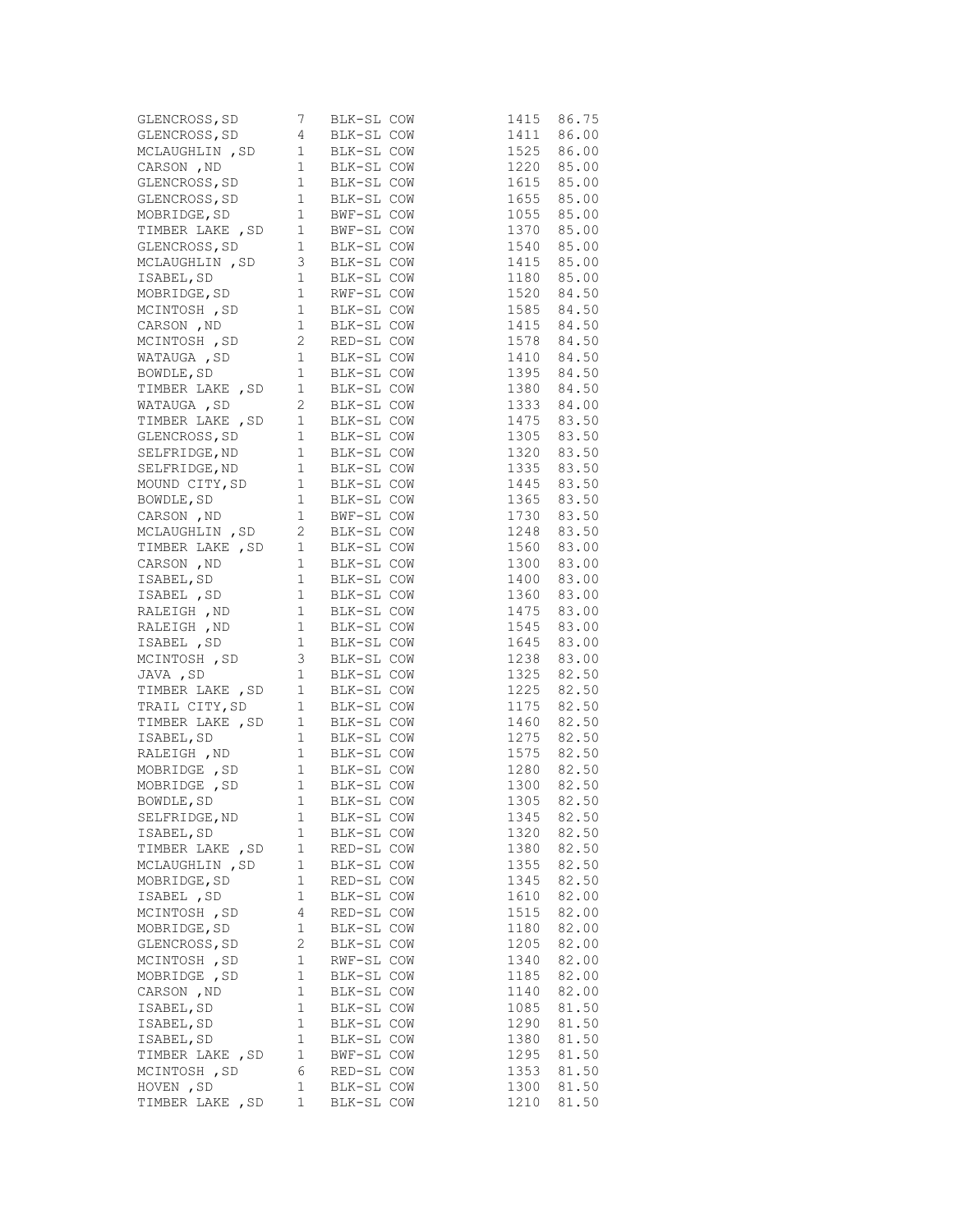| GLENCROSS, SD 7 BLK-SL COW<br>GLENCROSS, SD 4 BLK-SL COW<br>MCLAUGHLIN , SD 1 BLK-SL COW<br>CARSON , ND 1 BLK-SL COW<br>GLENCROSS, SD 1 BLK-SL COW<br>GLENCROSS, SD 1 BLK-SL COW<br>MOBRIDGE, SD 1 BWF-SL COW<br>TIMBER LAKE , SD 1 BWF-SL C                  |                |            |                              | 1415 | 86.75                    |
|---------------------------------------------------------------------------------------------------------------------------------------------------------------------------------------------------------------------------------------------------------------|----------------|------------|------------------------------|------|--------------------------|
|                                                                                                                                                                                                                                                               |                |            |                              |      | 1411 86.00               |
|                                                                                                                                                                                                                                                               |                |            |                              |      | 1525 86.00               |
|                                                                                                                                                                                                                                                               |                |            |                              |      |                          |
|                                                                                                                                                                                                                                                               |                |            |                              |      | 1220 85.00<br>1615 85.00 |
|                                                                                                                                                                                                                                                               |                |            |                              |      | 1655 85.00               |
|                                                                                                                                                                                                                                                               |                |            |                              |      | 1055 85.00               |
|                                                                                                                                                                                                                                                               |                |            |                              |      | 1370 85.00               |
|                                                                                                                                                                                                                                                               |                |            |                              |      | 1540 85.00               |
|                                                                                                                                                                                                                                                               |                |            |                              |      | 1415 85.00               |
| MCLAUGHLIN, SD 3 BLK-SL COW                                                                                                                                                                                                                                   |                |            |                              |      |                          |
|                                                                                                                                                                                                                                                               |                |            |                              |      | 1180 85.00<br>1520 84.50 |
|                                                                                                                                                                                                                                                               |                |            |                              |      |                          |
| MOBRIDGE, SD 1 KWE-SL COW<br>MCINTOSH , SD 1 BLK-SL COW<br>MCINTOSH , SD 2 RED-SL COW<br>MATAUGA , SD 1 BLK-SL COW<br>WATAUGA , SD 1 BLK-SL COW                                                                                                               |                |            |                              |      | 1585 84.50               |
|                                                                                                                                                                                                                                                               |                |            |                              |      | 1415 84.50<br>1578 84.50 |
|                                                                                                                                                                                                                                                               |                |            |                              |      |                          |
|                                                                                                                                                                                                                                                               |                |            |                              |      | 1410 84.50               |
| BOWDLE, SD 1 BLK-SL COW<br>TIMBER LAKE, SD 1 BLK-SL COW<br>WATAUGA, SD 2 BLK-SL COW<br>TIMBER LAKE, SD 1 BLK-SL COW<br>TIMBER LAKE, SD 1 BLK-SL COW                                                                                                           |                |            |                              |      | 1395 84.50               |
|                                                                                                                                                                                                                                                               |                |            |                              |      | 1380 84.50               |
|                                                                                                                                                                                                                                                               |                |            |                              |      | 1333 84.00               |
|                                                                                                                                                                                                                                                               |                |            |                              |      | 1475 83.50               |
| GLENCROSS, SD                                                                                                                                                                                                                                                 |                |            | 1 BLK-SL COW<br>1 BLK-SL COW |      | 1305 83.50<br>1320 83.50 |
| SELFRIDGE, ND                                                                                                                                                                                                                                                 |                |            |                              |      |                          |
| SELFRIDGE, ND 1 BLK-SL COW                                                                                                                                                                                                                                    |                |            |                              |      | 1335 83.50               |
|                                                                                                                                                                                                                                                               |                |            |                              |      |                          |
|                                                                                                                                                                                                                                                               |                |            |                              |      | 1445 83.50<br>1365 83.50 |
|                                                                                                                                                                                                                                                               |                |            |                              |      | 1730 83.50               |
|                                                                                                                                                                                                                                                               |                |            |                              |      | 1248 83.50               |
|                                                                                                                                                                                                                                                               |                |            |                              |      | 1560 83.00               |
| MOUND CITY, SD 1 BLK-SL COW<br>BOWDLE, SD 1 BLK-SL COW<br>CARSON , ND 1 BWF-SL COW<br>MCLAUGHLIN , SD 2 BLK-SL COW<br>TIMBER LAKE , SD 1 BLK-SL COW<br>CARSON , ND 1 BLK-SL COW<br>CARSON , ND 1 BLK-SL COW                                                   |                |            |                              |      | 1300 83.00               |
|                                                                                                                                                                                                                                                               |                |            |                              |      | 1400 83.00               |
|                                                                                                                                                                                                                                                               |                |            |                              |      | 1360 83.00               |
|                                                                                                                                                                                                                                                               |                |            |                              |      | 1475 83.00               |
|                                                                                                                                                                                                                                                               |                |            |                              |      |                          |
|                                                                                                                                                                                                                                                               |                |            |                              |      | 1545 83.00               |
|                                                                                                                                                                                                                                                               |                |            |                              |      | 1645 83.00<br>1238 83.00 |
| CARSON , ND<br>I BLK-SL COW<br>ISABEL, SD<br>I BLK-SL COW<br>RALEIGH , ND<br>I BLK-SL COW<br>RALEIGH , ND<br>I BLK-SL COW<br>ISABEL , SD<br>I BLK-SL COW<br>MCINTOSH , SD<br>3 BLK-SL COW<br>JAVA , SD<br>1 BLK-SL COW<br>JAVA , SD<br>1 BLK-SL COW<br>JAVA , |                |            |                              |      |                          |
| TIMBER LAKE, SD 1 BLK-SL COW<br>TRAIL CITY, SD 1 BLK-SL COW<br>TRAIL CITY, SD 1 BLK-SL COW<br>TIMBER LAKE, SD 1 BLK-SL COW<br>ISABEL, SD 1 BLK-SL COW<br>RALEIGH, ND 1 BLK-SL COW<br>MOBRIDGE, SD 1 BLK-SL COW<br>MOBRIDGE, SD 1 BLK-SL COW<br>               |                |            |                              |      | 1325 82.50               |
|                                                                                                                                                                                                                                                               |                |            |                              |      | 1225 82.50               |
|                                                                                                                                                                                                                                                               |                |            |                              |      | 1175 82.50               |
|                                                                                                                                                                                                                                                               |                |            |                              |      | 1460 82.50               |
|                                                                                                                                                                                                                                                               |                |            |                              |      | 1275 82.50               |
|                                                                                                                                                                                                                                                               |                |            |                              |      | 1575 82.50<br>1280 82.50 |
|                                                                                                                                                                                                                                                               |                |            |                              |      |                          |
|                                                                                                                                                                                                                                                               |                |            |                              |      | 1300 82.50               |
|                                                                                                                                                                                                                                                               |                |            |                              | 1305 | 82.50                    |
| SELFRIDGE, ND                                                                                                                                                                                                                                                 | 1              | BLK-SL COW |                              | 1345 | 82.50                    |
| ISABEL, SD                                                                                                                                                                                                                                                    | 1              | BLK-SL COW |                              | 1320 | 82.50                    |
| TIMBER LAKE, SD                                                                                                                                                                                                                                               | 1              | RED-SL COW |                              | 1380 | 82.50                    |
| MCLAUGHLIN, SD                                                                                                                                                                                                                                                | $\mathbf{1}$   | BLK-SL COW |                              | 1355 | 82.50                    |
| MOBRIDGE, SD                                                                                                                                                                                                                                                  | 1              | RED-SL COW |                              | 1345 | 82.50                    |
| ISABEL , SD                                                                                                                                                                                                                                                   | 1              | BLK-SL COW |                              | 1610 | 82.00                    |
| MCINTOSH , SD                                                                                                                                                                                                                                                 | 4              | RED-SL COW |                              | 1515 | 82.00                    |
| MOBRIDGE, SD                                                                                                                                                                                                                                                  | $\mathbf 1$    | BLK-SL COW |                              | 1180 | 82.00                    |
| GLENCROSS, SD                                                                                                                                                                                                                                                 | $\overline{c}$ | BLK-SL COW |                              | 1205 | 82.00                    |
|                                                                                                                                                                                                                                                               | 1              |            |                              | 1340 | 82.00                    |
| MCINTOSH , SD                                                                                                                                                                                                                                                 |                | RWF-SL COW |                              |      |                          |
| MOBRIDGE, SD                                                                                                                                                                                                                                                  | 1              | BLK-SL COW |                              | 1185 | 82.00                    |
| CARSON, ND                                                                                                                                                                                                                                                    | 1              | BLK-SL COW |                              | 1140 | 82.00                    |
| ISABEL, SD                                                                                                                                                                                                                                                    | 1              | BLK-SL COW |                              | 1085 | 81.50                    |
| ISABEL, SD                                                                                                                                                                                                                                                    | $\mathbf{1}$   | BLK-SL COW |                              | 1290 | 81.50                    |
| ISABEL, SD                                                                                                                                                                                                                                                    | 1              | BLK-SL COW |                              | 1380 | 81.50                    |
| TIMBER LAKE, SD                                                                                                                                                                                                                                               | 1              | BWF-SL COW |                              | 1295 | 81.50                    |
| MCINTOSH , SD                                                                                                                                                                                                                                                 | 6              | RED-SL COW |                              | 1353 | 81.50                    |
| HOVEN, SD                                                                                                                                                                                                                                                     | 1              | BLK-SL COW |                              | 1300 | 81.50                    |
| TIMBER LAKE, SD                                                                                                                                                                                                                                               | $\mathbf{1}$   | BLK-SL COW |                              | 1210 | 81.50                    |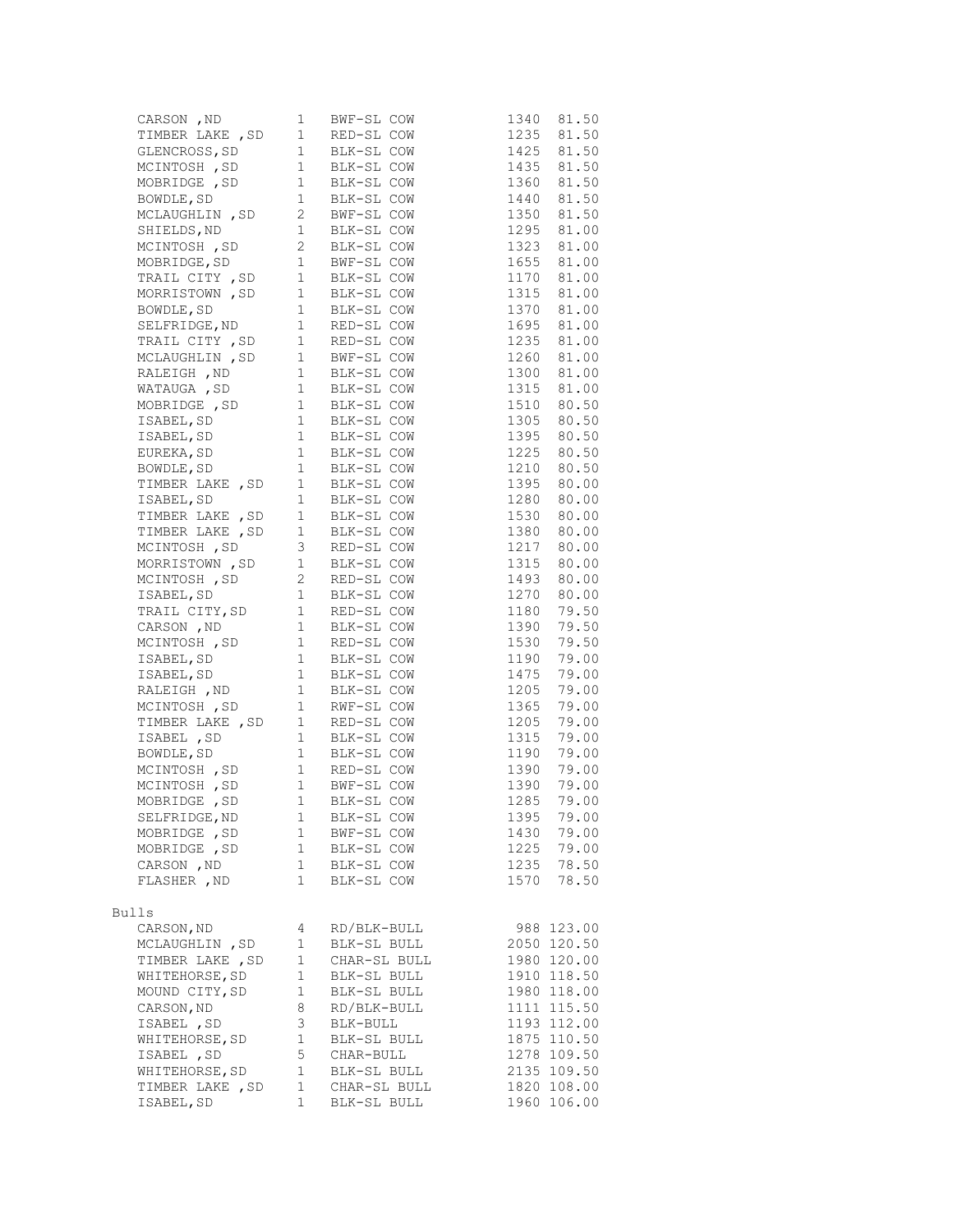| CARSON , ND<br>I BWF-SL COW 1340 81.50<br>TIMBER LAKE , SD 1 RED-SL COW 1235 81.50<br>GLENCROSS, SD 1 BLK-SL COW 1425 81.50<br>MCINTOSH , SD 1 BLK-SL COW 1360 81.50<br>MOBRIDGE , SD 1 BLK-SL COW 1360 81.50<br>BOWDLE, SD 1 BLK-SL COW       |              |              |                                        |             |
|------------------------------------------------------------------------------------------------------------------------------------------------------------------------------------------------------------------------------------------------|--------------|--------------|----------------------------------------|-------------|
|                                                                                                                                                                                                                                                |              |              |                                        |             |
|                                                                                                                                                                                                                                                |              |              |                                        |             |
|                                                                                                                                                                                                                                                |              |              |                                        |             |
|                                                                                                                                                                                                                                                |              |              |                                        |             |
|                                                                                                                                                                                                                                                |              |              |                                        |             |
|                                                                                                                                                                                                                                                |              |              |                                        |             |
|                                                                                                                                                                                                                                                |              |              |                                        |             |
|                                                                                                                                                                                                                                                |              |              |                                        |             |
|                                                                                                                                                                                                                                                |              |              |                                        | 1655 81.00  |
|                                                                                                                                                                                                                                                |              |              |                                        | 1170 81.00  |
|                                                                                                                                                                                                                                                |              |              |                                        | 1315 81.00  |
|                                                                                                                                                                                                                                                |              |              |                                        | 1370 81.00  |
|                                                                                                                                                                                                                                                |              |              |                                        | 1695 81.00  |
| MCINTOSH , SD 2 BLK-SL COW<br>MOBRIDGE, SD 1 BWF-SL COW<br>TRAIL CITY , SD 1 BLK-SL COW<br>MORRISTOWN , SD 1 BLK-SL COW<br>BOWDLE, SD 1 BLK-SL COW<br>SELFRIDGE, ND 1 RED-SL COW<br>MCLAUGHLIN , SD 1 BWF-SL COW<br>RALEIGH , ND 1 BLK-SL CO   |              |              |                                        | 1235 81.00  |
|                                                                                                                                                                                                                                                |              |              |                                        | 1260 81.00  |
|                                                                                                                                                                                                                                                |              |              |                                        |             |
|                                                                                                                                                                                                                                                |              |              | 1300 81.00<br>1315 81.00               | 1315 81.00  |
|                                                                                                                                                                                                                                                |              |              |                                        | 1510 80.50  |
|                                                                                                                                                                                                                                                |              |              |                                        | 1305 80.50  |
|                                                                                                                                                                                                                                                |              |              |                                        | 1395 80.50  |
|                                                                                                                                                                                                                                                |              |              |                                        | 1225 80.50  |
|                                                                                                                                                                                                                                                |              |              |                                        |             |
|                                                                                                                                                                                                                                                |              |              |                                        |             |
| TRABEL, SD 1 BLK-SL COW<br>ISABEL, SD 1 BLK-SL COW<br>EUREKA, SD 1 BLK-SL COW<br>BOWDLE, SD 1 BLK-SL COW<br>BOWDLE, SD 1 BLK-SL COW<br>TIMBER LAKE, SD 1 BLK-SL COW<br>ISABEL, SD 1 BLK-SL COW<br>ISABEL, SD 1 BLK-SL COW                      |              |              | 1210 80.50<br>1395 80.00<br>1280 80.00 |             |
| TIMBER LAKE, SD 1 BLK-SL COW                                                                                                                                                                                                                   |              |              |                                        | 1530 80.00  |
|                                                                                                                                                                                                                                                |              |              |                                        | 1380 80.00  |
| TIMBER LAKE, SD 1 BLK-SL COW<br>MCINTOSH, SD 3 RED-SL COW                                                                                                                                                                                      |              |              |                                        | 1217 80.00  |
| MORRISTOWN, SD 1 BLK-SL COW                                                                                                                                                                                                                    |              |              |                                        | 1315 80.00  |
|                                                                                                                                                                                                                                                |              |              |                                        | 1493 80.00  |
|                                                                                                                                                                                                                                                |              |              |                                        | 1270 80.00  |
|                                                                                                                                                                                                                                                |              |              |                                        | 1180 79.50  |
|                                                                                                                                                                                                                                                |              |              |                                        | 1390 79.50  |
|                                                                                                                                                                                                                                                |              |              | 1530                                   | 79.50       |
| MORRISTOWN, SD 1 BLK-SL COW<br>MCINTOSH, SD 2 RED-SL COW<br>TRAIL CITY, SD 1 BLK-SL COW<br>TRAIL CITY, SD 1 RED-SL COW<br>CARSON, ND 1 BLK-SL COW<br>MCINTOSH, SD 1 RED-SL COW<br>ISABEL, SD 1 BLK-SL COW<br>ISABEL, SD 1 BLK-SL COW<br>NCINTO |              |              |                                        | 1190 79.00  |
|                                                                                                                                                                                                                                                |              |              |                                        | 1475 79.00  |
|                                                                                                                                                                                                                                                |              |              | 1205                                   | 79.00       |
|                                                                                                                                                                                                                                                |              |              | 1365                                   | 79.00       |
| TIMBER LAKE, SD 1 RED-SL COW                                                                                                                                                                                                                   |              |              |                                        | 1205 79.00  |
|                                                                                                                                                                                                                                                |              |              | 1315                                   | 79.00       |
|                                                                                                                                                                                                                                                |              |              | 1190                                   | 79.00       |
| IREN DANS (CD 1 BLK-SL COW<br>BOWDLE, SD 1 BLK-SL COW<br>MCINTOSH , SD 1 RED-SL COW<br>MCINTOSH , SD 1 BMF-SL COW<br>MOBRIDGE , SD 1 BLK-SL COW<br>MOBRIDGE , SD 1 BLK-SL COW                                                                  |              |              |                                        | 1390 79.00  |
|                                                                                                                                                                                                                                                |              |              |                                        | 1390 79.00  |
|                                                                                                                                                                                                                                                |              |              |                                        |             |
|                                                                                                                                                                                                                                                |              |              | 1285                                   | 79.00       |
| SELFRIDGE, ND                                                                                                                                                                                                                                  | 1            | BLK-SL COW   | 1395                                   | 79.00       |
| MOBRIDGE , SD                                                                                                                                                                                                                                  | 1            | BWF-SL COW   | 1430                                   | 79.00       |
| MOBRIDGE , SD                                                                                                                                                                                                                                  | 1            | BLK-SL COW   | 1225                                   | 79.00       |
| CARSON, ND                                                                                                                                                                                                                                     | $\mathbf{1}$ | BLK-SL COW   | 1235                                   | 78.50       |
| FLASHER , ND                                                                                                                                                                                                                                   | $\mathbf 1$  | BLK-SL COW   | 1570                                   | 78.50       |
| Bulls                                                                                                                                                                                                                                          |              |              |                                        |             |
| CARSON, ND                                                                                                                                                                                                                                     |              | RD/BLK-BULL  |                                        |             |
|                                                                                                                                                                                                                                                | 4            | BLK-SL BULL  |                                        | 988 123.00  |
| MCLAUGHLIN, SD                                                                                                                                                                                                                                 | 1            |              |                                        | 2050 120.50 |
| TIMBER LAKE , SD                                                                                                                                                                                                                               | 1            | CHAR-SL BULL |                                        | 1980 120.00 |
| WHITEHORSE, SD                                                                                                                                                                                                                                 | 1            | BLK-SL BULL  |                                        | 1910 118.50 |
| MOUND CITY, SD                                                                                                                                                                                                                                 | 1            | BLK-SL BULL  |                                        | 1980 118.00 |
| CARSON, ND                                                                                                                                                                                                                                     | 8            | RD/BLK-BULL  |                                        | 1111 115.50 |
| ISABEL, SD                                                                                                                                                                                                                                     | 3            | BLK-BULL     |                                        | 1193 112.00 |
| WHITEHORSE, SD                                                                                                                                                                                                                                 | 1            | BLK-SL BULL  |                                        | 1875 110.50 |
| ISABEL , SD                                                                                                                                                                                                                                    | 5            | CHAR-BULL    |                                        | 1278 109.50 |
| WHITEHORSE, SD                                                                                                                                                                                                                                 | $\mathbf{1}$ | BLK-SL BULL  |                                        | 2135 109.50 |
| TIMBER LAKE, SD                                                                                                                                                                                                                                | 1            | CHAR-SL BULL |                                        | 1820 108.00 |
| ISABEL, SD                                                                                                                                                                                                                                     | 1            | BLK-SL BULL  |                                        | 1960 106.00 |